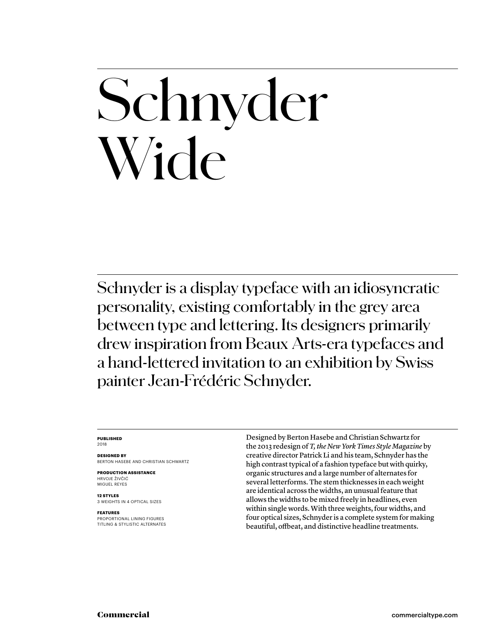# Schnyder Wide

Schnyder is a display typeface with an idiosyncratic personality, existing comfortably in the grey area between type and lettering. Its designers primarily drew inspiration from Beaux Arts-era typefaces and a hand-lettered invitation to an exhibition by Swiss painter Jean-Frédéric Schnyder.

### **PUBLISHED** 2018

**DESIGNED BY** BERTON HASEBE AND CHRISTIAN SCHWARTZ

**PRODUCTION ASSISTANCE** HRVOJE ŽIVČIĆ MIGUEL REYES

**12 STYLES** 3 WEIGHTS IN 4 OPTICAL SIZES

**FEATURES** PROPORTIONAL LINING FIGURES TITLING & STYLISTIC ALTERNATES Designed by Berton Hasebe and Christian Schwartz for the 2013 redesign of *T, the New York Times Style Magazine* by creative director Patrick Li and his team, Schnyder has the high contrast typical of a fashion typeface but with quirky, organic structures and a large number of alternates for several letterforms. The stem thicknesses in each weight are identical across the widths, an unusual feature that allows the widths to be mixed freely in headlines, even within single words. With three weights, four widths, and four optical sizes, Schnyder is a complete system for making beautiful, offbeat, and distinctive headline treatments.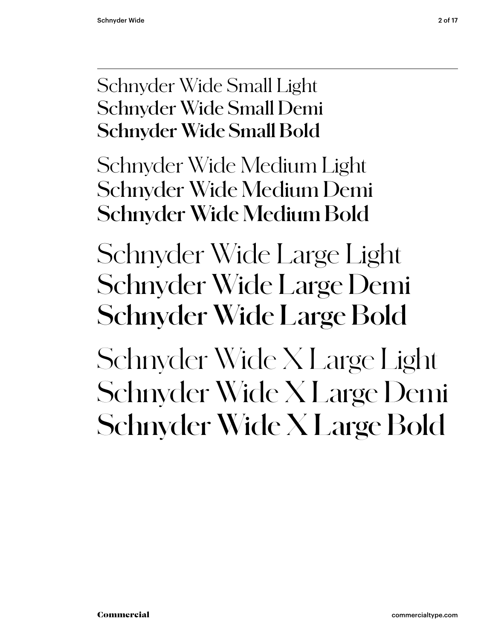### Schnyder Wide Small Light Schnyder Wide Small Demi **Schnyder Wide Small Bold**

Schnyder Wide Medium Light Schnyder Wide Medium Demi **Schnyder Wide Medium Bold**

Schnyder Wide Large Light Schnyder Wide Large Demi **Schnyder Wide Large Bold**

Schnyder Wide X Large Light Schnyder Wide X Large Demi **Schnyder Wide X Large Bold**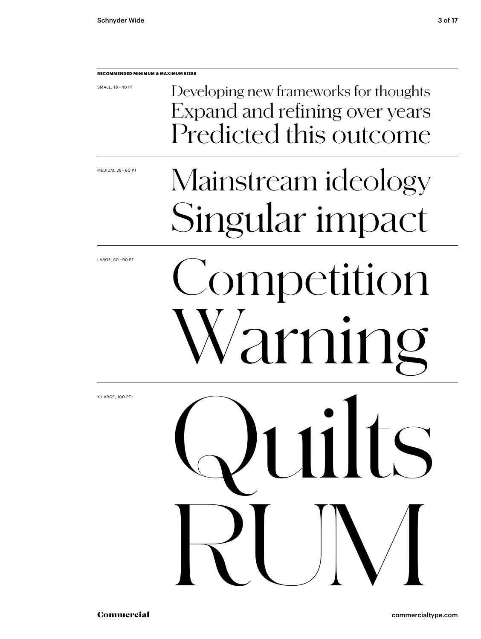### **RECOMMENDED MINIMUM & MAXIMUM SIZES**

SMALL, 18 – 40 PT

Developing new frameworks for thoughts Expand and refining over years Predicted this outcome

MEDIUM, 28 – 60 PT

### Mainstream ideology Singular impact

LARGE, 50 – 90 PT

# Competition arning

Quilts

RUM

X LARGE, 100 PT+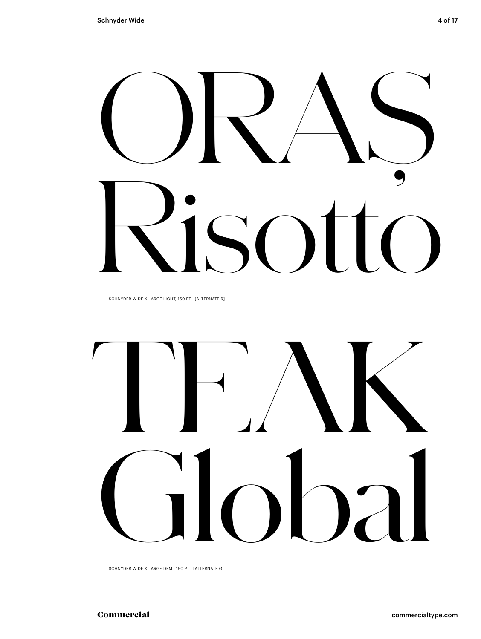

SCHNYDER WIDE X LARGE LIGHT, 150 PT [ALTERNATE R]



SCHNYDER WIDE X LARGE DEMI, 150 PT [ALTERNATE G]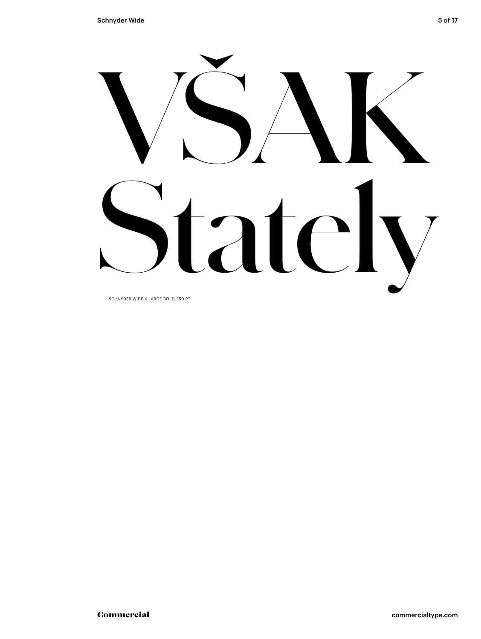

SCHNYDER WIDE X LARGE BOLD, 150 PT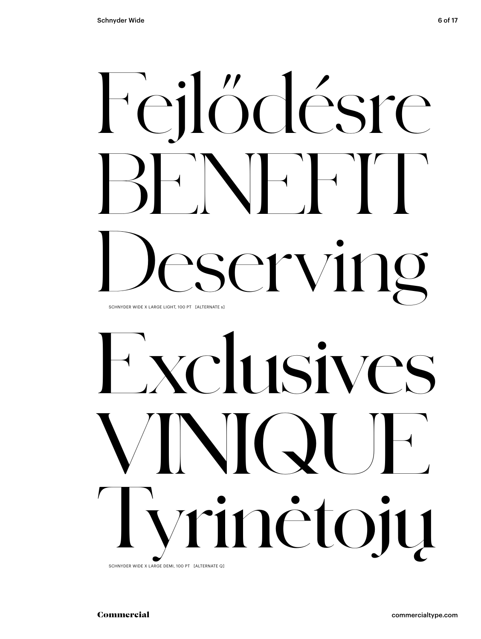### Feilődésre  $'V$  $SC1$ SCHNYDER WIDE X LARGE LIGHT, 100 PT [ALTERNATE s]

# Nelusive  $\blacktriangle$ inėtojų  $\bigvee$

SCHNYDER WIDE X LARGE DEMI, 100 PT [ALTERNATE Q]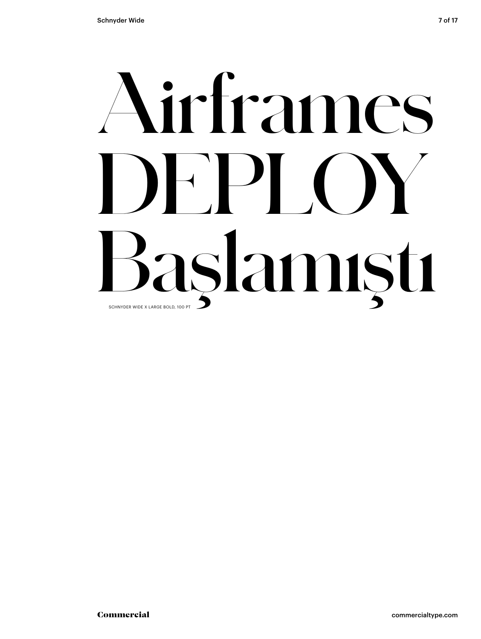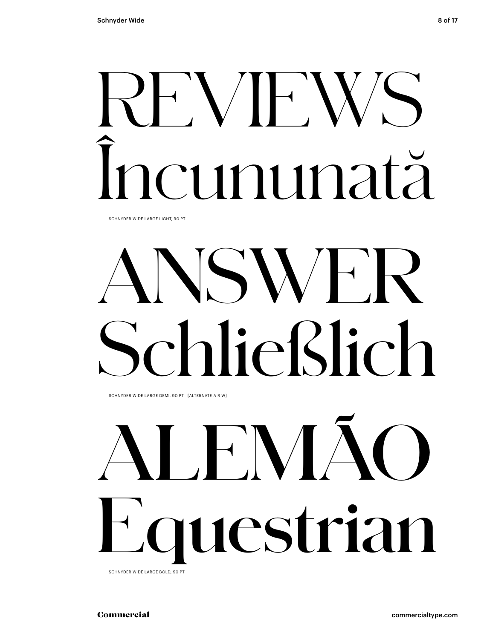# REVIEWS Încununată

SCHNYDER WIDE LARGE LIGHT, 90 PT

# ANSWER Schließlich

SCHNYDER WIDE LARGE DEMI, 90 PT [ALTERNATE A R W]

# **ALEMÃO Equestrian**

SCHNYDER WIDE LARGE BOLD, 90 PT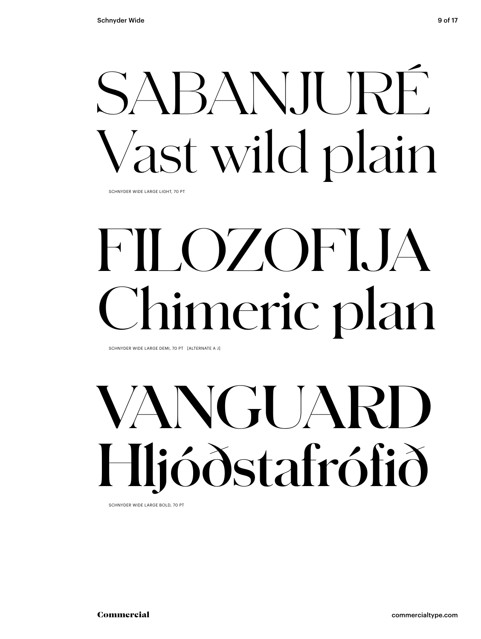# SABAN.II JRÉ Vast wild plain

SCHNYDER WIDE LARGE LIGHT, 70 PT

# FILOZOFIJA Chimeric plan

SCHNYDER WIDE LARGE DEMI, 70 PT [ALTERNATE A J]

# **VANGUARD Hljóðstafrófið**

SCHNYDER WIDE LARGE BOLD, 70 PT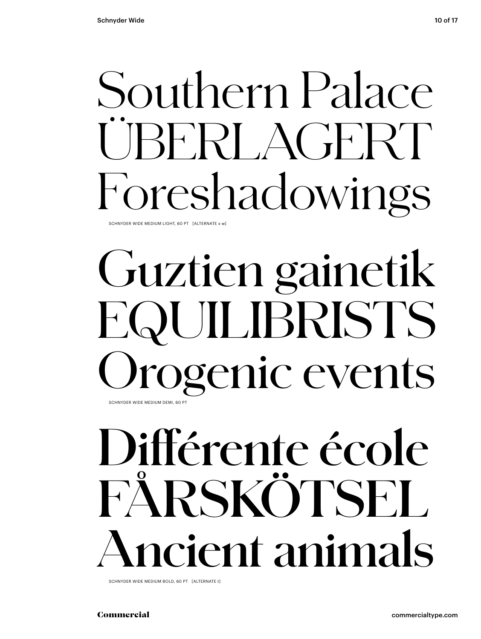## Southern Palace BERI AGERT Foreshadowings

SCHNYDER WIDE MEDIUM LIGHT, 60 PT [ALTERNATE s w]

### Guztien gainetik EQUILIBRISTS rogenic events SCHNYDER WIDE MEDIUM DEMI, 60 PT

## Différente école FÅRSKÖTSEL **cient animals**

SCHNYDER WIDE MEDIUM BOLD, 60 PT [ALTERNATE t]

Commercial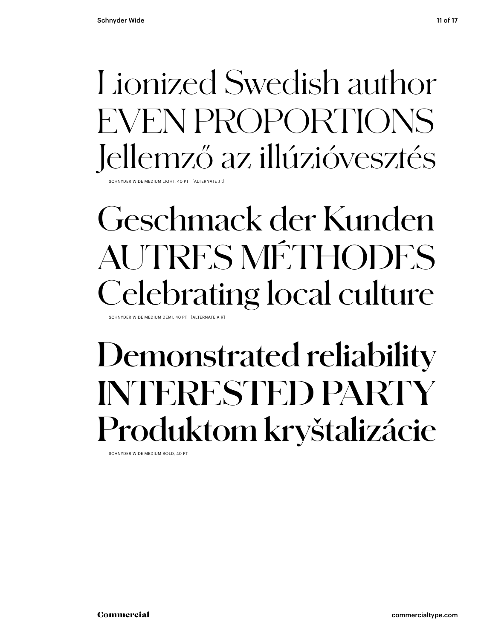### Lionized Swedish author EVEN PROPORTIONS Jellemző az illúzióvesztés

SCHNYDER WIDE MEDIUM LIGHT, 40 PT [ALTERNATE J t]

### Geschmack der Kunden AUTRES MÉTHODES Celebrating local culture

SCHNYDER WIDE MEDIUM DEMI, 40 PT [ALTERNATE A R]

### **Demonstrated reliability INTERESTED PARTY Produktom kryštalizácie**

SCHNYDER WIDE MEDIUM BOLD, 40 PT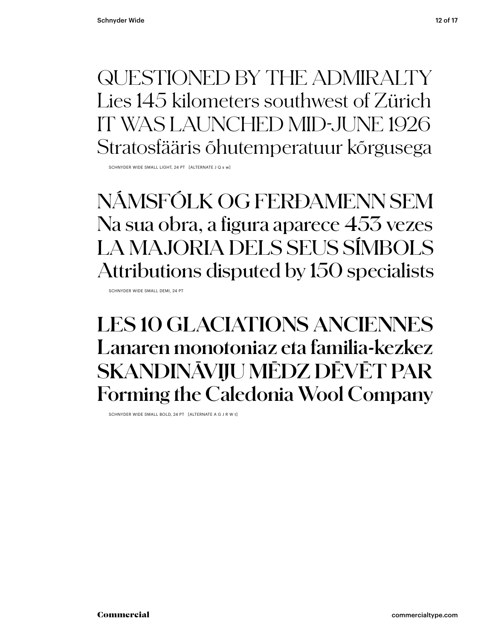**QUESTIONED BY THE ADMIRALTY** Lies 145 kilometers southwest of Zürich IT WAS LAUNCHED MID-JUNE 1926 Stratosfääris õhutemperatuur kõrgusega

SCHNYDER WIDE SMALL LIGHT, 24 PT [ALTERNATE LO s w]

NÁMSFÓLK OG FERÐAMENN SEM Na sua obra, a figura aparece 453 vezes LA MAJORIA DELS SEUS SÍMBOLS Attributions disputed by 150 specialists

SCHNYDER WIDE SMALL DEMI. 24 PT

### **LES 10 GLACIATIONS ANCIENNES** Lanaren monotoniaz eta familia-kezkez SKANDINĀVIJU MĒDZ DĒVĒT PAR Forming the Caledonia Wool Company

SCHNYDER WIDE SMALL BOLD, 24 PT [ALTERNATE A G J R W t]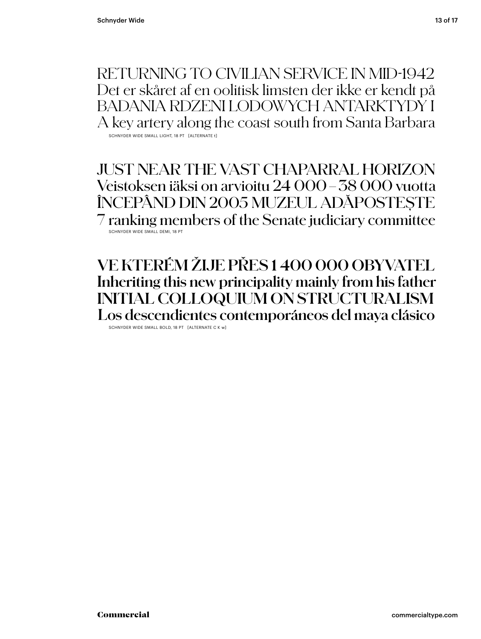RETURNING TO CIVILIAN SERVICE IN MID-1942 Det er skåret af en oolitisk limsten der ikke er kendt på BADANIA RDZENI LODOWYCH ANTARKTYDY I A key artery along the coast south from Santa Barbara SCHNYDER WIDE SMALL LIGHT, 18 PT [ALTERNATE t]

JUST NEAR THE VAST CHAPARRAL HORIZON Veistoksen iäksi on arvioitu 24 000–38 000 vuotta ÎNCEPÂND DIN 2005 MUZEUL ADĂPOSTEȘTE 7 ranking members of the Senate judiciary committee SCHNYDER WIDE SMALL DEMI, 18 PT

**VE KTERÉM ŽIJE PŘES 1 400 000 OBYVATEL Inheriting this new principality mainly from his father INITIAL COLLOQUIUM ON STRUCTURALISM Los descendientes contemporáneos del maya clásico**

SCHNYDER WIDE SMALL BOLD, 18 PT [ALTERNATE C K w]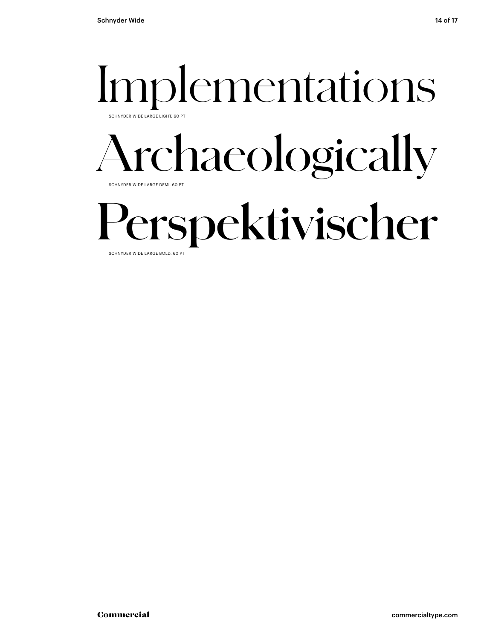### Implementations SCHNYDER WIDE LARGE LIGHT, 60

### Archaeologically SCHNYDER WIDE LARGE DEMI, 60 PT

## **Perspektivischer**

SCHNYDER WIDE LARGE BOLD, 60 PT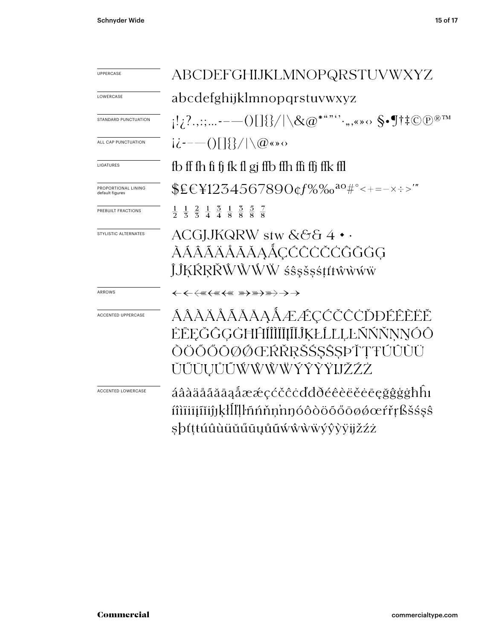| UPPERCASE                              | ABCDEFGHIJKLMNOPQRSTUVWXYZ                                                                                                                                              |  |  |
|----------------------------------------|-------------------------------------------------------------------------------------------------------------------------------------------------------------------------|--|--|
| LOWERCASE                              | abcdefghijklmnopqrstuvwxyz                                                                                                                                              |  |  |
| <b>STANDARD PUNCTUATION</b>            | $\{1,2\ldots: \ldots \text{---} \text{O}[\text{]} \{\}/ \setminus \text{\&} @^{\text{***}} \ldots, \text{} \text{S}\text{-}\text{Fit} \text{O} \text{P}^{\text{tm}} \}$ |  |  |
| ALL CAP PUNCTUATION                    | $i\dot{\zeta}$ --- ()[]{}/ \@«» $\circ$                                                                                                                                 |  |  |
| LIGATURES                              | fb ff fh fi fj fk fl gj ffb ffh ffi ffj ffk ffl                                                                                                                         |  |  |
| PROPORTIONAL LINING<br>default figures | $EEY1234567890$ $Cf\%$ $\frac{80}{10}$ $C_{\text{tot}}$ $\frac{1}{2}$ $C_{\text{tot}}$ $\frac{1}{2}$                                                                    |  |  |
| PREBUILT FRACTIONS                     | $\frac{1}{2}$ $\frac{1}{5}$ $\frac{2}{5}$ $\frac{1}{4}$ $\frac{3}{4}$ $\frac{1}{8}$ $\frac{3}{8}$ $\frac{5}{8}$ $\frac{7}{8}$                                           |  |  |
| STYLISTIC ALTERNATES                   | ACGJJKQRW stw &&& 4<br>ÀÁÂÃÄÅĀĂĀĄÁÇĆĈČČĜĞĞĠ<br>ĴĴĶŔŖŘŴŴŴŴśŝşšşśţťŧŵŵŵŵ                                                                                                  |  |  |
| ARROWS                                 | ←←←₩←₩←₩₩₩₩₩₩ <del>)</del>                                                                                                                                              |  |  |
| <b>ACCENTED UPPERCASE</b>              | ÁÂÀÄÅĂĂĂAĄÁÆÆÇĆČČČĎĐÉÊĒËĚ<br>ĖĒĘĞĜĢĠĦĤĨĨĨĬĨĮĨĬĴĶŁĹĽĻĿŇŇŇŅŇÓŎ<br>ÒÖŐŐŌØØŒŔŘRŠŚŞŜSÞŤŢŦÚÛÙÜ<br>ŬŰŪŲŮŨŴŴŴŴÝŶŶŸIJŽŹŻ                                                         |  |  |
| <b>ACCENTED LOWERCASE</b>              | áâàäåãããaåææçćčĉċďđðéêèëěēęğĝġġħhı<br>íîìïiījĩiiĵjķłll'ļŀñńňņ'nŋóôòöõőōøǿœŕřŗßšśşŝ<br>şþťṭŧúûùüŭűūụůũẃŵẁẅýŷỳÿijžźż                                                      |  |  |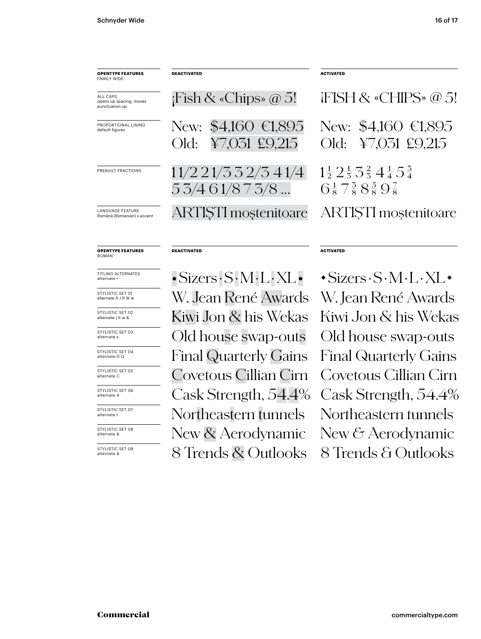| <b>OPENTYPE FEATURES</b><br><b>FAMILY WIDE</b>        | <b>DEACTIVATED</b>                                              | <b>ACTIVATED</b>                                                                                                                             |
|-------------------------------------------------------|-----------------------------------------------------------------|----------------------------------------------------------------------------------------------------------------------------------------------|
| ALL CAPS<br>opens up spacing, moves<br>punctuation up | $i$ Fish & «Chips» @ 5!                                         | $i$ FISH & «CHIPS» $@5!$                                                                                                                     |
| PROPORTIONAL LINING<br>default figures                | $$4,160$ €1,895<br>New:<br>¥7,031 £9,215<br>Old:                | New: $$4,160 \in 1,895$<br>¥7,031 £9,215<br>Old:                                                                                             |
| PREBUILT FRACTIONS                                    | 11/221/332/341/4<br>53/461/873/8                                | $1\frac{1}{2}$ $2\frac{1}{3}$ $3\frac{2}{3}$ $4\frac{1}{4}$ $5\frac{3}{4}$<br>$6\frac{1}{8}$ 7 $\frac{3}{8}$ 8 $\frac{5}{8}$ 9 $\frac{7}{8}$ |
| LANGUAGE FEATURE<br>Română (Romanian) s accent        | ARTISTI moștenitoare                                            | <b>ARTISTI</b> mostenitoare                                                                                                                  |
| <b>OPENTYPE FEATURES</b><br><b>ROMAN</b>              | <b>DEACTIVATED</b>                                              | <b>ACTIVATED</b>                                                                                                                             |
| TITLING ALTERNATES<br>alternate • ·                   | $\cdot$ Sizers $\cdot$ S $\cdot$ M $\cdot$ L $\cdot$ XL $\cdot$ | $\cdot$ Sizers $\cdot$ S $\cdot$ M $\cdot$ L $\cdot$ XL $\cdot$                                                                              |
| STYLISTIC SET 01<br>alternate A J R W w               | W. Jean René Awards                                             | W. Jean René Awards                                                                                                                          |
| STYLISTIC SET 02<br>alternate J K w &                 | Kiwi Jon & his Wekas                                            | Kiwi Jon & his Wekas                                                                                                                         |

STYLISTIC SET 03 alternate s

STYLISTIC SET 04 alternate G Q

STYLISTIC SET 05 alternate C

STYLISTIC SET 06 alternate 4

STYLISTIC SET 07 alternate t

STYLISTIC SET 08<br>alternate &

STYLISTIC SET 09<br>alternate &

New & Aerodynamic New & Aerodynamic 8 Trends & Outlooks 8 Trends & Outlooks Kiwi Jon & his Wekas Kiwi Jon & his Wekas Old house swap-outs Old house swap-outs Final Quarterly Gains Final Quarterly Gains Covetous Cillian Cirn Covetous Cillian Cirn Cask Strength, 54.4% Cask Strength, 54.4% Northeastern tunnels Northeastern tunnels